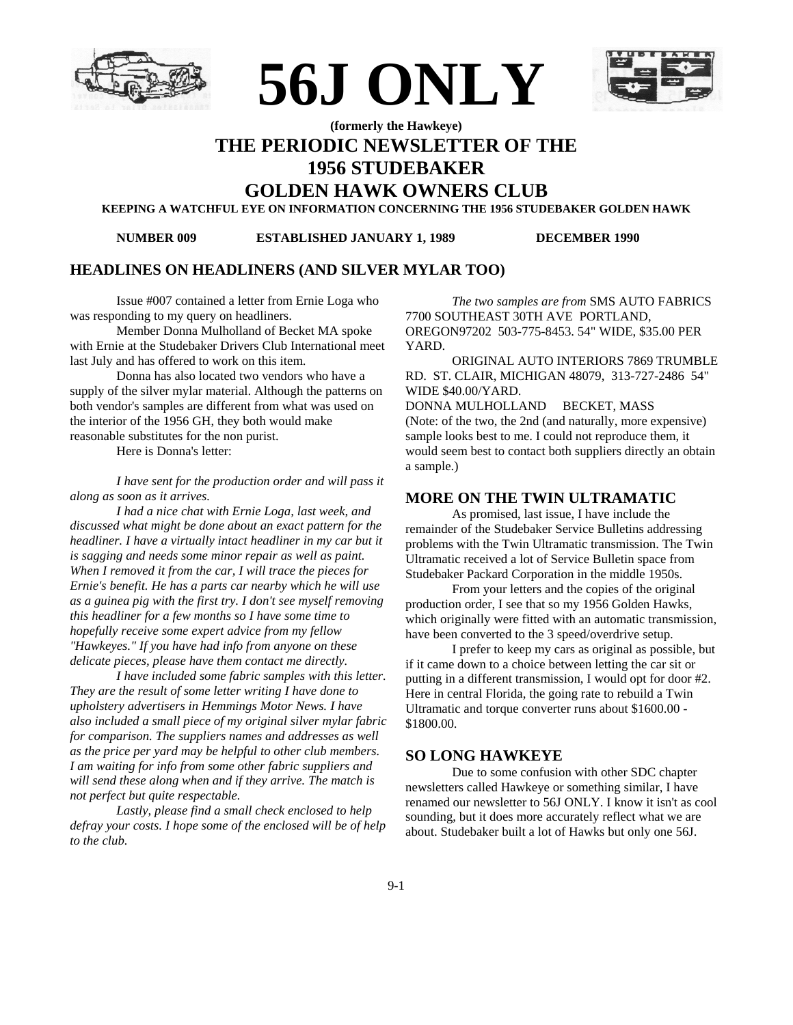





# **(formerly the Hawkeye) THE PERIODIC NEWSLETTER OF THE 1956 STUDEBAKER**

**GOLDEN HAWK OWNERS CLUB**

**KEEPING A WATCHFUL EYE ON INFORMATION CONCERNING THE 1956 STUDEBAKER GOLDEN HAWK**

**NUMBER 009 ESTABLISHED JANUARY 1, 1989 DECEMBER 1990**

### **HEADLINES ON HEADLINERS (AND SILVER MYLAR TOO)**

Issue #007 contained a letter from Ernie Loga who was responding to my query on headliners.

Member Donna Mulholland of Becket MA spoke with Ernie at the Studebaker Drivers Club International meet last July and has offered to work on this item.

Donna has also located two vendors who have a supply of the silver mylar material. Although the patterns on both vendor's samples are different from what was used on the interior of the 1956 GH, they both would make reasonable substitutes for the non purist.

Here is Donna's letter:

*I have sent for the production order and will pass it along as soon as it arrives.*

*I had a nice chat with Ernie Loga, last week, and discussed what might be done about an exact pattern for the headliner. I have a virtually intact headliner in my car but it is sagging and needs some minor repair as well as paint. When I removed it from the car, I will trace the pieces for Ernie's benefit. He has a parts car nearby which he will use as a guinea pig with the first try. I don't see myself removing this headliner for a few months so I have some time to hopefully receive some expert advice from my fellow "Hawkeyes." If you have had info from anyone on these delicate pieces, please have them contact me directly.*

*I have included some fabric samples with this letter. They are the result of some letter writing I have done to upholstery advertisers in Hemmings Motor News. I have also included a small piece of my original silver mylar fabric for comparison. The suppliers names and addresses as well as the price per yard may be helpful to other club members. I am waiting for info from some other fabric suppliers and will send these along when and if they arrive. The match is not perfect but quite respectable.*

*Lastly, please find a small check enclosed to help defray your costs. I hope some of the enclosed will be of help to the club.*

*The two samples are from* SMS AUTO FABRICS 7700 SOUTHEAST 30TH AVE PORTLAND, OREGON97202 503-775-8453. 54" WIDE, \$35.00 PER YARD.

ORIGINAL AUTO INTERIORS 7869 TRUMBLE RD. ST. CLAIR, MICHIGAN 48079, 313-727-2486 54" WIDE \$40.00/YARD.

DONNA MULHOLLAND BECKET, MASS (Note: of the two, the 2nd (and naturally, more expensive) sample looks best to me. I could not reproduce them, it would seem best to contact both suppliers directly an obtain a sample.)

### **MORE ON THE TWIN ULTRAMATIC**

As promised, last issue, I have include the remainder of the Studebaker Service Bulletins addressing problems with the Twin Ultramatic transmission. The Twin Ultramatic received a lot of Service Bulletin space from Studebaker Packard Corporation in the middle 1950s.

From your letters and the copies of the original production order, I see that so my 1956 Golden Hawks, which originally were fitted with an automatic transmission, have been converted to the 3 speed/overdrive setup.

I prefer to keep my cars as original as possible, but if it came down to a choice between letting the car sit or putting in a different transmission, I would opt for door #2. Here in central Florida, the going rate to rebuild a Twin Ultramatic and torque converter runs about \$1600.00 - \$1800.00.

### **SO LONG HAWKEYE**

Due to some confusion with other SDC chapter newsletters called Hawkeye or something similar, I have renamed our newsletter to 56J ONLY. I know it isn't as cool sounding, but it does more accurately reflect what we are about. Studebaker built a lot of Hawks but only one 56J.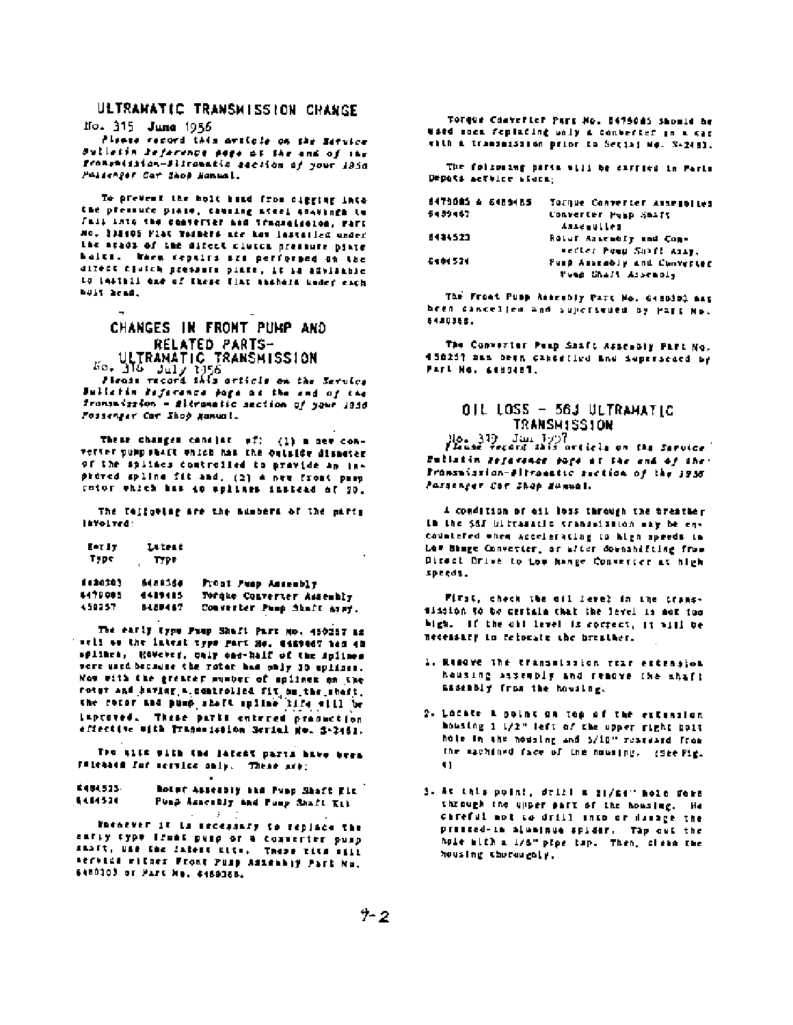# ULTRAHATIC TRANSMISSION CHANGE

No. 315 June 1956

Please record this article on the Service Sulletin Jeference page of the and of the fronsmission-differentic section of your 1956 Poisenger Car Shop Hannal.

To prevent the bolt hand from digging into the pressure plate, causing afeel abatings to Fall into the conserver and tragentesion, rari Mo. 338405 Fiat Tasmers are how installed under the neads of the difect clutch pressure plate balts. When ceptics are performed on the direct clutch presents pinte, it is advisable to leathil one of these flat shahers under each buit head.

# CHANGES IN FRONT PUMP AND RELATED PARTS-ULTRANATIC TRANSNISSION<br>50. 316 July 1956<br>Please record 1463 article on the Service

Juliatin Reference page as the and of the framsmission - fitramatic section of your 1946 Fossenger Car Shop Nammal.

These changes cancier of: (1) a new converter summonact which has the outside disnater of the splines controlled to pravide an inproved spline fit and, (2) A new front pasp rotor which has do splings instead of 20.

The fallowing are the numbers of the party Involved:

| EAT IT | Litert |
|--------|--------|
| Type   | Type   |

1420203 5489368 Pront Punp Amsembly Torque Converter Assembly 6470005 6489485 SABPAST Converter Pump Shaft Assy. 450257

The early type Fuap Shaft Part No. 450257 az THEIL ON the Intent type gart He. E489467 has 40 splines, Rowever, only one-half of the splines vere used because the rotor has only 10 uplines. Now with the greater mumber of spilnes on the rotur and baving a controlled fit on the sheft. the rotor and pump shaft spline life will be inproved. These parks entered production effective with Tragemission Serial No. 5-2461.

The alif with the latest parts have brea Filenate for service only. These are:

E404523-Botor Assesbly and Pupp Shaft Elk  $144320$ Punp Assessly and Punp Shaft Kill

Poenever it is secondary to replace the ently type front pusp or a converter pusp SANFT, USB THE CATOLE KITE. THESE TITE FILE Service witnes Front Pusp Assesbly Part No. 6480000 or Part No. 6489068.

Torque Converter Park No. 5475085 Showld be ward some feptacing unly a converter in a car with a transmission prior to Sector No. 3-2481.

The following parts will be carried in Parts Depots actuice storm:

| 8470085 A 6489485 | Tornue Converter Assegolies |
|-------------------|-----------------------------|
| 5489467           | Converter Pusp Smaft        |
|                   | Assemblied                  |
| 8414523           | ROLUE ASSEMBLY And Com-     |
|                   | verter Pool Shaff Assy,     |
| 5404524           | Pusp Assembly and Cunverter |
|                   | Tues Chaft Assembly         |

The Front Pupp Assesbly Part No. 6480301 aas heen cancelled and sujectivated by Part No. 548035ft.

The Convertor Peap Shaft Assesbly Part No. 458257 Sas Deen cancelled and Supersecte by PARL NO. 6489481.

### OIL LOSS - 56J ULTRAMATIC TRANSMISSION

Hosseller Jun 1977<br>Please Perand skill article on the Secular Bullatin Reference page at the end of the: Pronsnission-Altronatic section of the 1936 Passenger Cor Shop Summal.

A condition of oil loss through the breather In the SAT biltramatic transmission may be encountered when accelerating to high speeds in Low hange Converter, or after downshifting from Direct Drive to too hange Converter at high speeds.

First, check the oil level in the transmission to be certain that the level is not too bigh. If the oil level is correct, it will be necessary to relocate the breather.

- 1. Remove the transmission rear extrasion housing assembly and remove the shaft assembly from the housing.
- 2. Locate a point on top of the extension mousing 1 1/2" left of the upper right boit hole in the nousing and 5/10" rearvard from the sachined face of the housing. (See Fig. 11
- 3. At this point, drill a 21/64" hole ders through the upper part of the housing. He careful not to drill into or damage the pressed-in aluninum spider. The out the hole with a 1/6" pipe tap. Then, clean the housing therewebly.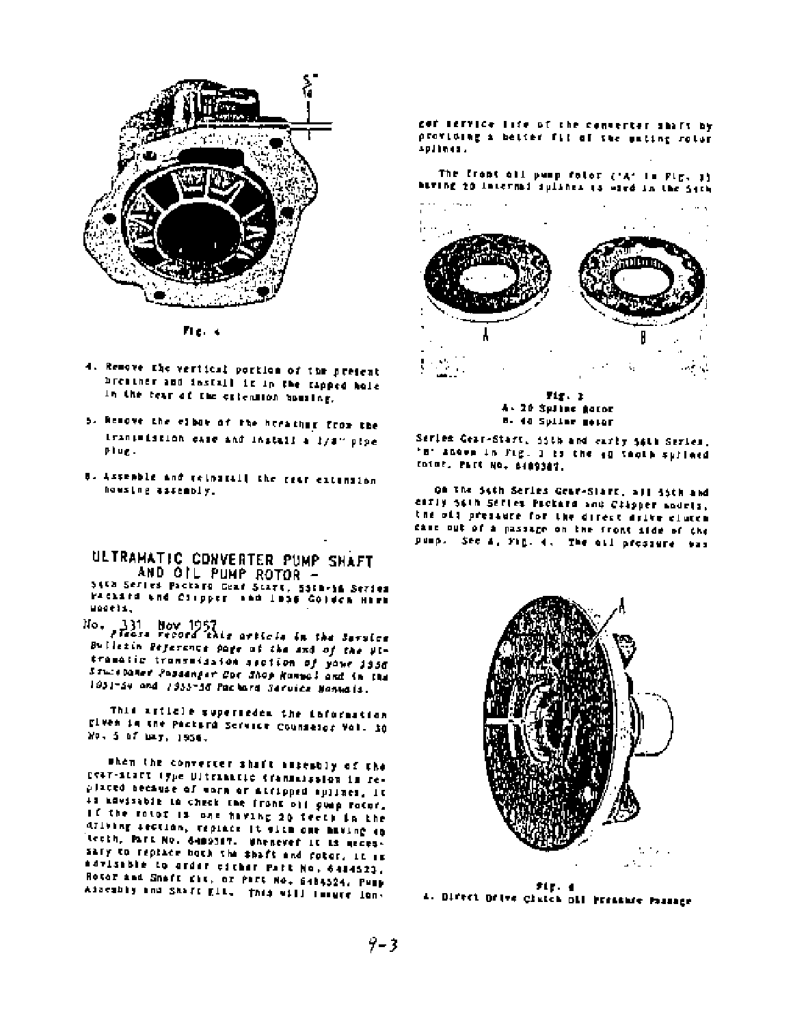

Fie, 4

- 4. Remove the vertical portion of the present breather and install it in the tapped hole in the tear of the extension housing.
- 5. Resove the close of the herather from the transmission case and install a lysw pipe plug.
- 8. Assemble and reingfall the rear extension howsing assembly.

ULTRAMATIC CONVERTER PUMP SHAFT AND OIL PUMP ROTOR -

SAVA Series Packard Gear Start, 5518-56 Series PACLAIN and Clipper and Inns Colden Hama mageix.

No. 331 Nov 1957<br>Press record this article in the Service Bulletin Peyerance page of the and of the Ultramatic transmission section of your 1956 Stuisbaner Possenger Cor Shop Honnal and in the 1951-54 and 1955-36 Packard Service Nanuals.

This article supersedes the information given in the Pactors Service Counselor Vol. 30 No. 5 of may, 1956.

when the converter shaft assessly of the DRAT-SCATT (The Ultramatic Cranimission is replaced necause of worm or accipped sullnes, it is novisable to check the front old ownp rotor. If the rotor is one having 20 teeth in the driving section, replace it sith one having so tecth, Part No. 6409387. Unenever it is mecessary to replace both the shaft and fotor, it is savisable to arder esther part No. 6484523. Rotor and Shaff fit, or Part No. 6484524, Pupp Assembly and Shaft Ell. This will immure longet service life of the converter shaft by providing a better fit of the unting rotor splines.

The front oil ownp rotor ('A' in Fig. 3) having 20 internal sulther is wird in the Seth



Fig. 1 4- 20 Spline gator **B. 40 Spiler meter** 

Series Gear-Start, 55th and early 54th Series. 'm' anove in Fig. I is the 40 tools suffeed rator. Part No. 6489347.

on the Sith Series Gear-Start, all isth and early sath Series Packard and Citioper andels. the old pressure for the direct drive clutch case out of a passage on the front aide of the pump. See A, Fig. 4. The oil pressure was



 $71<sub>5</sub>$ . 4 4. Divect Drive Claick Dil Pressate Prince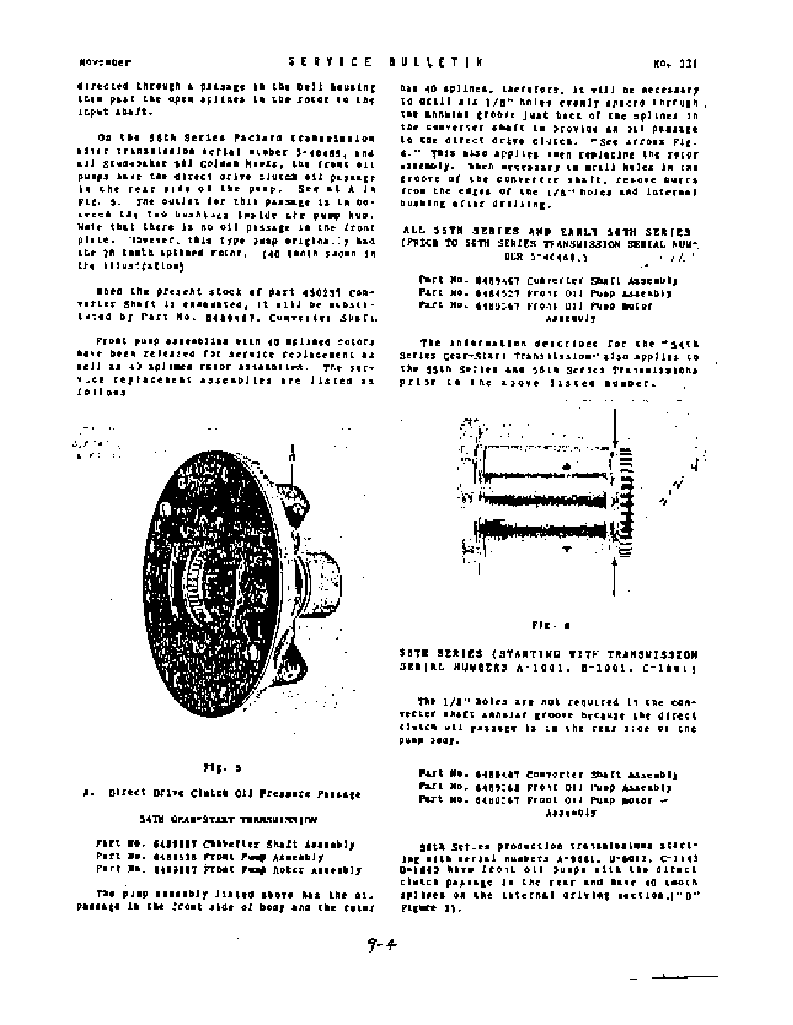directed through a passage in the bell housing them past the open aplines in the rotor to the input ibift.

On the SSCA Series Pacture (concelector after transmission action wumber 5-40489, and ail Studebaker 581 Golden Marts, the frame oil pumps have the direct ories clutch oil passage in the rear side of the pusp. See at A la Fig. 5. The outlin for this passage is to besween the two bushings inside the pupp hub. Wote that there is no oil passage in the front plate. However, this type peap exiginally had the 20 tomth spilned rotor. (40 thold shown in the illustrations.

moss the present stock of part 450257 Converter Shaft is exemented, it will be substi-Luted by Past No. 8489487, Converter Shaft,

Front pump essenblies with 40 splings rotors have been released for service replacement as sell as 40 aplined rotor assessiles. The survice replacement assemblies are listed as folloss:



#### FIEL 5

A. Birect Drive Cinten Oli Pressure Passage

#### 54TH OEAN-START TRANSHISSION

Fact No. 6431417 Character Shaft Assambly Part Mo. disesis from the Assembly Part Mo. 1489387 Front Fund Rotor Assembly

The pusp seseribly linted shore has the ail passage in the front side of bony and the cutor

has 40 splines, therefore, it will be necessary to actil als 1/8" holes evenly spaced through. the annular groove just back of the splines in the converter shaft to provide as oil passage to the diffect drive cluses. "See arrows Fig. 4." This also applies shen replacing the rotor sitemply. When necessary to scill holes in the droove of the converter shaft, resove nurrs from the edges of the 1/8" holes and internal bushing after drilling.

ALL SSTN SERIES AND EARLY SETH SERIES (PRIOR TO SETH SERIES TRANSWISSION SERIAL NUM-DER 5-40440.3  $\cdots$ 

Part No. 6489467 Converter Shaft Assembly PACE NO. 6484527 Front Old Pusp Assembly Part No. 6489367 Front Oil Pupp Rotor **Anti-middel** 

The information deacribed for the "seth Sefies Cear-Start Transmission"also applies to the 15th Sefter and 5din Series framenissions prior in the above justed mumber.





SOTH SZRIES (STARTING TITH TRANSWISSION SERIAL HUMBERS A-1001. 8-1001, C-1001;

the 1/1" holes are not required in the convector shaft annular groove because the direct clutch oll passage is in the fear aide of the pump bear.

#### Past No. 6489487 Competier Shaft Assembly Fail Mo. 6489361 Front Old Pupp Assembly PUTt NO. 6480367 Front Oil Pump motor -A4344015

SELA Seties production transmissions starting with secial numbers A-9061, U-6012, C-1103 D-1842 have front oll pumps with the direct clutch paysage in the rear and have of tooth splines on the internal oriving section.("D" Pigere 11.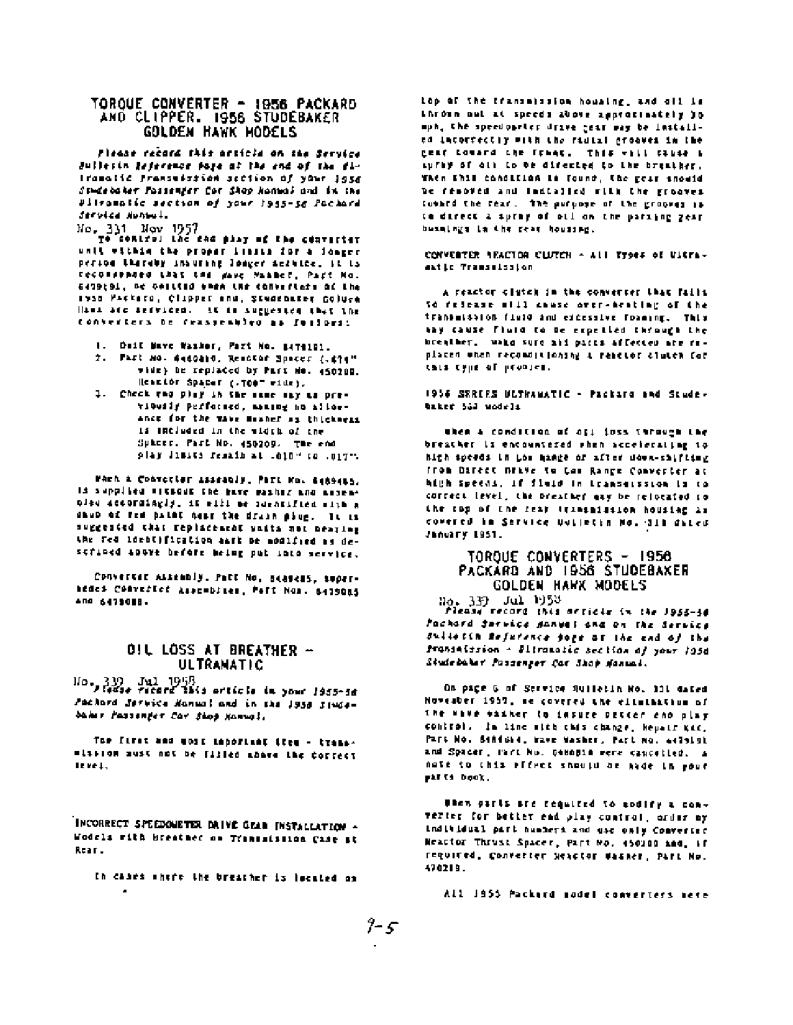# TOROUE CONVERTER - 1956 PACKARD<br>AND CLIPPER. 1956 STUDEBAKER **GOLDEN HAWK MODELS**

Fleaze record this article on the Service Bullesin Reference pape of the end of the fi-Iramatic Pransmission section of your 1956 Studebaker Fassenfer Car Shop Hannal and in the Pitromatic section of your 1955-56 Pachard Servica Nuncul.

No. 331 Nov 1957<br>Te control the sam play of the converter unit within the proper limits for a longer person thereby insuring longer service, it is recoverance that the gave Nammer, Part No. 6479(9), or colling ones the converters of the 1550 Packard, Clipper and, Studebater Coluce Hand are derviced. It is auggested that the converters be reassembled as follows:

- 1. Dail Nave Vasker, Part No. 8479101.
- 2. FAST NO. 6460810, Resotar Spaces (.674" wide) be replaced by Part Ho. 450200. Heation Spaces (.TOO" wide).
- 1. Check the play in the same say as previously performed, maning no allowance for the wave meaner as thickness is included in the width of the SPACES. Past ND. 450209. The end play linits remain at .010" to .017".

when a Convector Isseably, Part Mo. 4489465. Is supplied vittoot the gave masher and assenolse accordingly, it will be identified with a saub of red pates near the drain plug. It is suggested that replacement units not beating the red identification sark be modified as described above before being put into service.

CONVERSER ALBERDIN, Part No. Beadels, Supernedes Converter Assemblies, Patt Nos. 6479085 And 6479018.

# OIL LOSS AT BREATHER -<br>ULTRAMATIC

Ho. 339 Jul 1958<br>Tedas record 1843 orticle in your 1955-56 Pachard Service Namual and in the 1958 Sindebaker Passenger Car Shop Manual.

The first and work important item - transmission aust not be fifled above the correct level.

INCORRECT SPEEDOMETER DRIVE GEAR INSTALLATION -Wodels with breatner on Transatismon Case at Rear.

In cases where the breather is located on

top of the transmission housing, and oll is thrown out at speeds above approximately 30 mph, the speedownter drive jear way be lestalled incordectly with the radial grooves in the geaf toward the frees. This will cause a spray of old to be difected to the breather. When this condition is found, the gear inouid be resound and indialied with the grooves countd the tear. The purpose of the grooves is to direct a spray of oil on the paraing gear busaings in the rear housing.

CONVERTER REACTOR CLUTCH - ALL Types of Ultramatic Transmission

A reactor clutch in the converter that fails to refease will cause over-heating of the transmission fluid and eddessive foaming. This may cause fluid to be expelled through the breather, wake sure all parts affected are replaced when reconditioning a reactor cluten for this type of problem.

1956 SERIES ULTHAMATIC - Packard and Studebaked 553 undels

when a condition of off foss through the breather is encountered when accelerating to hith speeds in the mange of after down-shifting from Direct neive to too Range Comverter at high speeds, if fluid in transmission is to correct level, the presther may be relocated to the rop of the rear transmission housing as covered in Service Dulletin No. 311 diced January 1951.

# TORQUE CONVERTERS - 1958 PACKARD AND 1956 STUDEBAKER **GOLDEN HAWK MODELS**

No. 339 Jul 1953<br>Piesse record this orticis in the J955-34 Pachard Service Honwel and on the Service Sullatin Reference page of the end of the fransaission - Plironatic section of your 105d Studebaker Paszenger Car Shap Hannal.

On page 6 of Streice Mulletin No. 111 dated November 1957, we covered the eltmination of the wave easier to insure petter end play control. In time with this change, hepatr gif, Part No. Sendwid, mave Washer, Part No. 4479191 and Spacer, Park No. Genopia were cancelled. A nate to this effect should be made in your pirts book.

when parts are required to modify a converter for better ead play control, order my individual part numbers and use only Converted Neattor Thrust Spacer, Part No. 450309 and, if required, converter Seactor Washer, Part No. 470219.

All 1955 Packerd sodel converters sere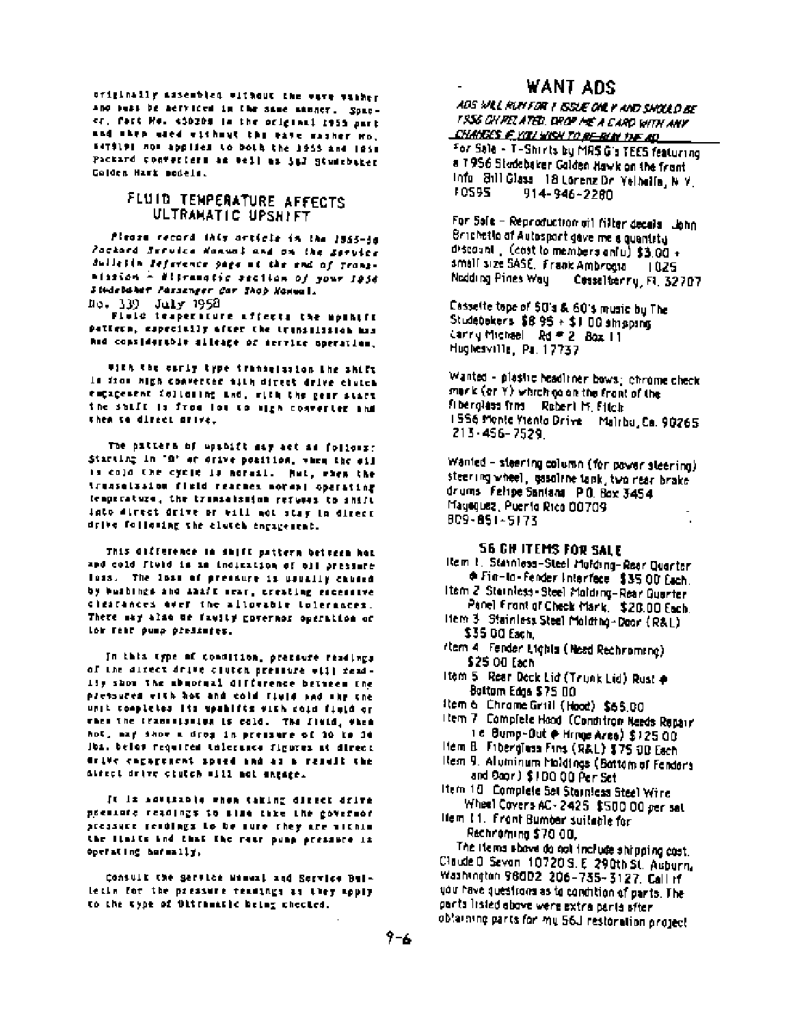originally assembled without the wave washer and such be nerviced in the same annoy. Spacer, fact He. < 10209 in the original 1955 part and then used without the wate rasher mo. E4TS191 now applies to both the 1955 and 1958 Packard converters as well as 547 Studebaker Colden Hart sodels.

### FLUID TENPERATURE AFFECTS ULTRAMATIC UPSHIFT

Please record this article in the 1955-30 Zackard Service Nanual and on the Service Sullatin Jeference page at the end of Transmission - Eliramatic pecilon of your 1956 Siedebaker Passenger Car Shop Nonwall ho. 139 July 1958

Plola traperiture affects the mpshift pattern, especially ofter the transaission mas and considerable sileage of service operation.

with the carly type transmission the shift is from high converter mith direct drive clutch empapement following and, with the gear start the shift is free lot to sigh converter and then to direct orlye.

The pattern of upshift may act as follows: Starting in '0' of drive position, when the oil is cold the cycle is notail. But, when the treaselssion field reaches normal operating temperature, the transaisainm refuses to shift into direct drive or will not stay in direct drive following the clutch engagement.

This difference in shift pattern betteen hot and cold field is an indication of oil pressure loss. The loss of pressure is usually caused by bushings and daaft sear, creating escessive clearances aver the allowable tolerances. There may also be faulty governor operation or low rear pump predimers.

In this type of condition, pressure readings of the direct drive clutch pressure will read-11y show the abundual difference between the pressures with hot and cold field and sky the unit completes its upshifts with coid field or when the Crammission is cold. The Field, when hot, may show a drog in pressure of 20 to 30 Jbs. belos required talerance figures at direct drive engagenent spied and as a result the alfect drive clutch will not ingage.

It is advisable when taking direct drive poesinfe readings to size thre the governor pressure readings to be sure they are within the limits and that the rate pump pressure in operating hormally,

Consult the genetor womant and Service Bulletin for the pressure readings as they apply to the type of Ultramatic being checked.

# WANT ADS

ADS WILL RUY FOR T ISSUE ONLY AND SHOULD BE I SSG CH RELATED. DROP ME A CARD WITH ANY <u> CHANGES E YOU WISH TO BE BUN THE AD</u>

For Sale - T-Shirts by MRS G's TEES featuring a 1956 Studebaker Galden Hawk on the frant info, 8:11 Glass, 18 Lorenz Dr. Yelbella, N.Y. 10595 914-946-2280

For Safe - Reproduction of I filter decals . John Brichetla of Autosport gave me a quantity discount (cost to members aniu) \$3.00 + small size SASE. Frank Ambrogia 1025 Nedding Pines Way Cosseltering, Ft. 32707

Cassette tape of 50's & 60's music by The Studebokers \$8.95 + \$1.00 singping Carry Michael Rd # 2 Box 11 Hughesville, Pa. 17737

Wanted - plastic headliner bows; chrome check mork (or Y) which go on the frant of the fiberglass from Robert M. Fitch 1556 Monte Viento Drive Malrbu, Ca. 90265 213-456-7529

Wanted - steering column (for power steering) steering wheel, gasaline tank, two near brake drums Fehpe Santana PO. Box 3454 Magequez, Puento Rico 00709 909-851-5173

#### **56 GH ITEMS FOR SALE**

- item t. Stanniess-Steel Molding-Rear Quarter ⊕ Fin-In-Fender Interface \$35.00 Each.
- Item 2 Sternless-Steel Maldring-Rear Quarter Panel Front of Check Mark, \$20.00 Each.
- Hem 3 Stainless Steel Molding-Door (R&L) \$35.00 Each.
- (tem 4 Fender Lights (Need Rechroming) \$25.00 Each
- Item 5 Rear Deck Lid (Trunk Lid) Rust + Bottom Edge \$75 00
- item 6 Chrome Grill (Hood) \$65.00
- item 7 Complete Hood (Condition Needs Repair) 1 el Bump-Dut @ Hrnge Ares) \$125.00
- Hem B. Fiberglass Fins (R&L) \$75 OD Each
- item 9. Aluminum Moldings (Battom of Fender's and Soor) \$100.00 Per Set
- Item 10 Complete Set Stainless Steel Wire Wheel Covers AC-2425 \$500.00 per set
- Hem 11. Front Bumber suitable for Rechnoming \$70.00,

The items above do not include shipping cost. Claude D Sevan 10720 S. E. 290th St. Auburn. Washington 98002, 206-735-3127, Call if you have questions as to condition of parts. The parts listed above were extra parts after. obtaining parts for my 56J restoration project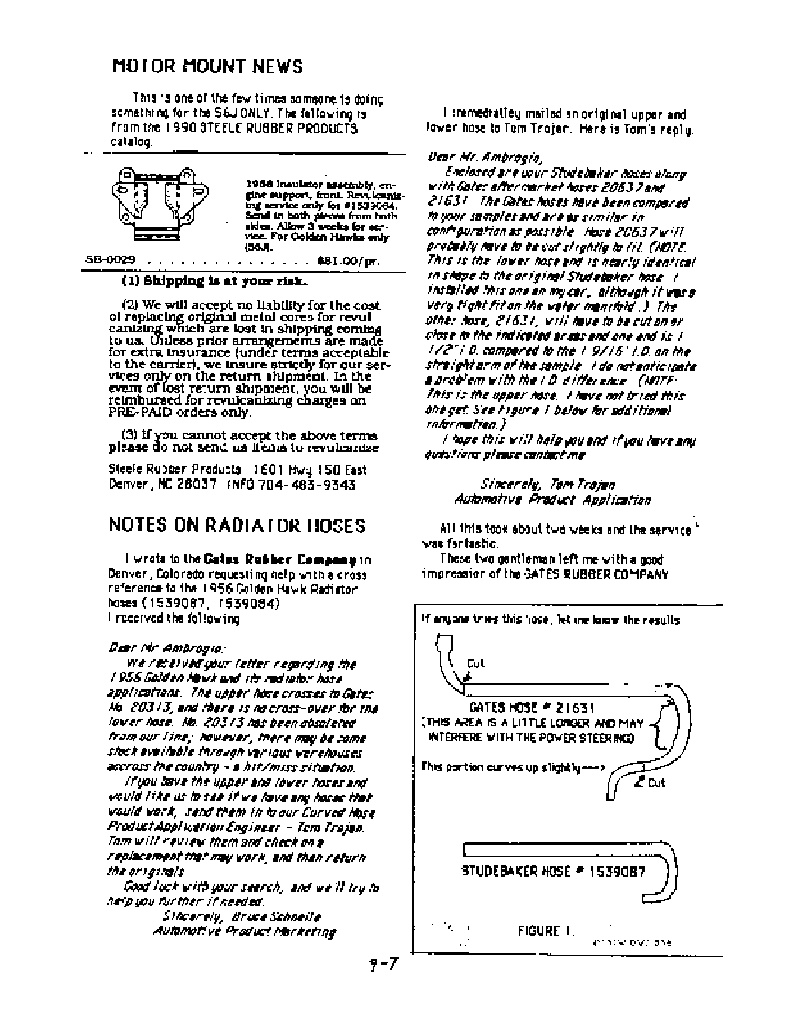# MOTOR MOUNT NEWS

This is one of the few times someone is doing. something for the S6JONLY. The following is from the 1990 STEELE RUBBER PRODUCTS. catalog.



#### (1) Shipping is at your risk.

(2) We will accept no liability for the cost of replacing original metal cores for revulcanizing which are lost in shipping coming to us. Unless prior arrangements are made for extra tosurance (under terms acceptable to the carrier), we insure strictly for our services only on the return shipment. In the event of lost return shipment, you will be reimbursed for revulcanizing charges on PRE-PAID orders only.

(3) If you cannot accept the above terms please do not send us ifems to revulcanize.

Steele Rubber Products 1601 Hwy 150 East Denver, NC 28037 (NFO 704-483-9343)

# **NOTES ON RADIATOR HOSES**

I wrote to the Gates. Rubber. Company in Denver, Colorado requesting help with a cross reference to the 1956 Colden Hawk Radiator. hoses (1539087, 1539084). I received the following:

#### Dear Mr Ambrogia:

We received your letter regarding the 1956 Galden Howk and sits radiator hase. applications. The upper hose crosses to Getes Me 20313, and there is no cross-over for the lower hose. No. 20313 has been absoleted from our line; however, there may be same stock everlebte through versous werehouses. accross the country - a hit/miss situation.

If you have the upper end lower hoses and vould like us la see it we lave any hoses that would vark, send them in ia our Curved Hose. ProductApplication Engineer - Tom Trojan. Tom will review them and check on a replacement that may vork, and then return the or lainsis.

Good luck with your search, and we'll try to help you further if needed. Sincerely, Bruce Schnelle Automotive Product Macketing

I smmedratiey mailed an original upper and lawer hass to Tom Trajen. Here is Tom's really.

#### Dear Mr. Ambroaia.

Enclosed are wur Studebaker hoses along with Gates after market hoses 2063 7 and 21631 The Gates hoses have been compared to your samples and are as similar in confrauration as possible. Hose 20637 will probably lave to be cut streatily to tit. (NOTE, This is the lower hose and is hearly identical. th shape to the original Studebaker hose. I installed this one an mucar, although it was a very tight fit on the vater manifold .) The other hose, 21631, will have to be cut an or close to the indicated areas and one end is 1 172" | 0. compered to the 1 9715" | 0. on the straight arm of the sample. I do not anticipate. a problem with the LD difference. (NOTE: This is the upper hose, I have not tried this. one yet. See Figure 1 below for additional rnformation.)

l hope this will halp you and if you have any evestions please contact me

> Sincerely, Tam Trojan Automotive Product Application

All this took about two weeks and the service " vas fantastic.

These two gentleman left me with a good impression of the GATES RUBBER COMPANY



9-7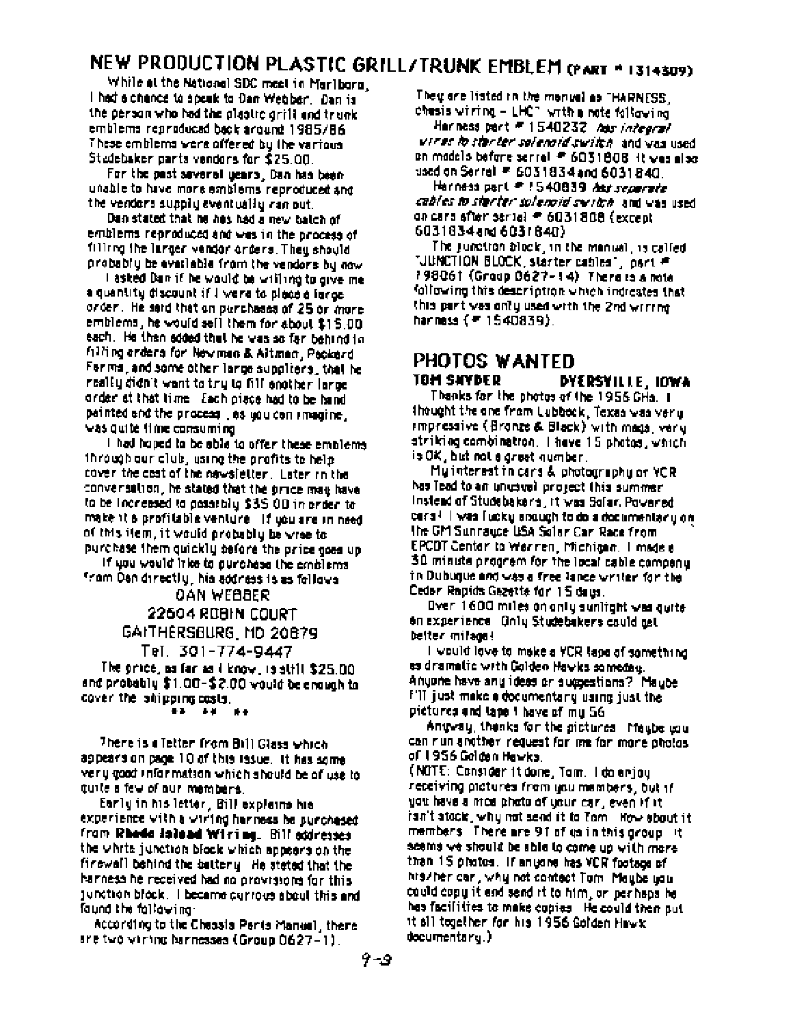# NEW PRODUCTION PLASTIC GRILL/TRUNK EMBLEM (PART \* 1314309)

While at the National SDC meet in Marlborn, I had a chence to speak to Dan Webber. Dan is the person who had the plantic orifli and trunk emblems reproduced back around 1985/86 These emblems were offered by the various. Studebaker parts vendors for \$25.00.

For the past saveral wears, Dan has been unable to have more emblems reproduced and the vendors supply eventually ran out.

Dan stated that he has had a new balch of emblems reproduced and was in the process of filling the larger vander orders. They should probably be evailable from the vendors by now

I asked Dan if he would be willing to give me a quantity discount if I were to place a farce. order,He said that an purchases of 25 or more. emblems, he would sell them for about \$15,00. each. He then added that he was so far behind to filling orders for Newman & Altman, Packerd For mail and some other large suppliers, that he really didn't want to try to fill enother large order at that time. Each piece had to be hand painted and the process \_es you can rmagine . was quite it me consuming

I had hoped to be able to offer these emblems. through our club, using the profits to help. cover the cost of the nawsletter. Later in the conversation, he stated that the orice may have to be increased to possibly \$35.00 in proter to make it a profitable venture. If usuare in need of this ifem, it would probably be wree to: purchase them quickly before the price goes up

If you would inke to purchase the emblems. from Danidirectly, his address is as follows

# OAN WEBBER

22604 ROBIN COURT GAITHERSBURG, MD 20879

Tel. 301-774-9447

The orice, as far as I know, is still \$25.00. and probably \$1.00-\$2.00 would be enough to cover the shipping costs.

- 64 ÷ъ. . . .

There is a Tetter from Bill Glass which appears on page 10 of this issue. It has some very good information which should be of use to quite a few of our members.

Early in his letter, Bill explains his experience with a wiring harness be purchased from **Rhedo Joload Wiring**, Bill eddresses the white junction block which appears on the firewall behind the battery He steted that the harness he received had no provisions for this junction block. I became currous about this and found the following:

According to the Chessis Peris Manuel, there are two winning harnesses (Group 0627-1).

Their are listed in the manual as "HARNESS, chasis viring – LHC" with a note following. Harness part # 1540232 Aus integral virus to starter salenaid swifth, and was used. on models before serrel # 6031808 it was also used on Serrel # 6031834 and 6031840.

Harness part # 1540839 Ast separate cables to starter solenoid switch, and was used. on cars after seriel # 6031808 (except 6031834 and 60318403

The junction block, in the manual, is called "JUNCTION BLOCK, starter cables", part # 198061 (Group 0627-14) There is a note following this description which indicates that this part was only used with the 2nd wirring harness ( = 1540839).

#### PHOTOS WANTED **TOM SAYBER** DYERSYILLE, IOWA

Thanks for the photos of the 1956 GHa. I thought the one from Lubbook, Texas was very smoressive (Bronze & Black) with mags, very striking combinatron. I have 15 photos, which is OK, but not a great number.

Mulinterest in cars & photography or YCR has lead to an unusual project this summer. Instead of Studebakers, it was Solar, Powered cars! I was fucky souven to do a decumentary on. the GM Sunrayce USA Solar Car Race from EPCDT Center to Werren, Michigan. I made a 30 minute progrem for the local cable company in Dubuque and was a free lance writer for the Cedar Rapids Gazette for 15 days.

Over 1600 miles on only sunlight was quite on experience Only Studebakers cauld get better milegal

I would love to make a YCR tape of something. as dramatic with Golden Hawks someday. Anyone have any ideas or suggestions? Maybe FIT just make a documentary using just the pictures and tape 1 have of my 56

Antway, thenks for the sictures. Maybe you can run another request for me for more photos. of 1956 Golden Hewks.

(NOTE: Consider it done, Tom. I do enjoy receiving pictures from you members, but if you have a mos photo of your car, even if it isn't stock, why not send it to Tom . How about it members. There are 91 of us in this group it scems we should be able to come up with more than 15 photos. If anyone has VCR footage of his/her car , why not contect Tom. Meube you. could copy it and sand it to him, or parhaps he has facilities to make copies. He could then put it all together for his 1956 Golden Hawk.  $documentary.$ )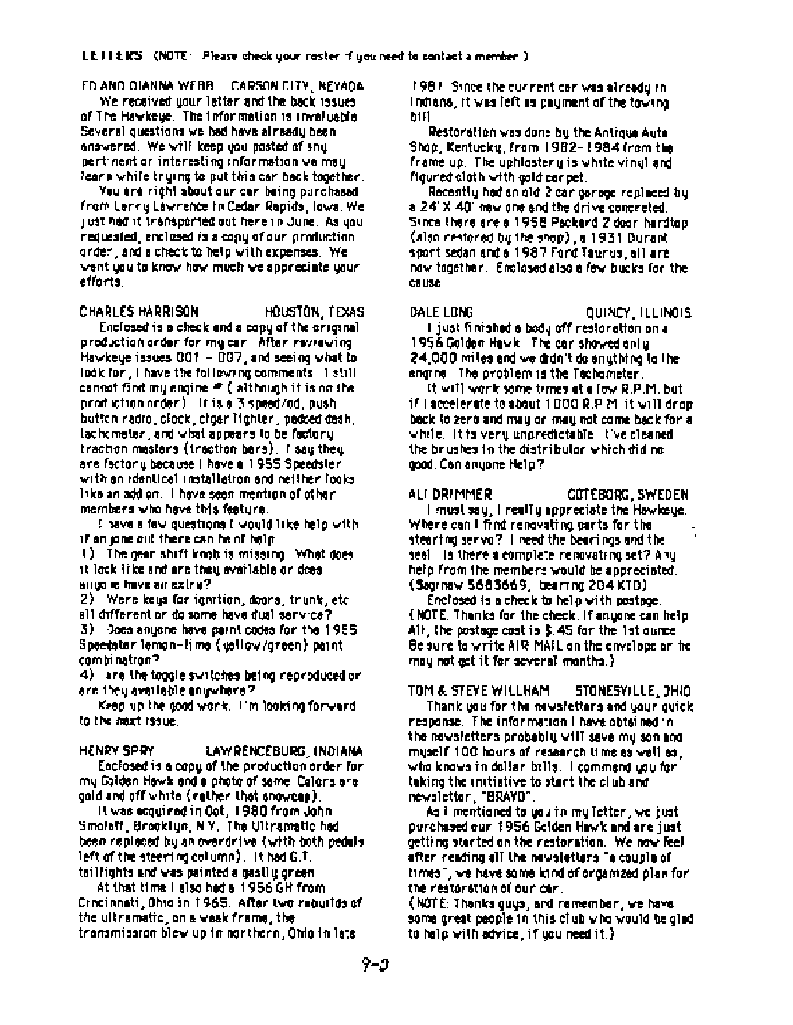ED AND DIANNA WEBB CARSON CITY, NEYADA

We received your letter and the back issues of The Hawkeye. The Information is invaluable. Several questions we had have already been answered. We will keep you posted of any pertinent or interesting information we may learn while trying to put this car back together.

You are right about our car being purchased from Lenny Lawrence In Cedar Rapids, lows. We just had it transported out here in June. As you requested, analosed is a copy of our production. order, and a check to help with expenses. We vent usu to know how much we appreciate usurefforts.

CHARLES HARRISON HOUSTON, TEXAS

Enclosed is a check and a copy of the original production order for my car . After reviewing Hawkege issues 001 - 007, and seeing what to look for , I have the following comments - 1 still. cannot find my engine  $\equiv$  (although it is on the production order) It is a 3 speed/od, push button radro, clock, cigar lighter, pedded desh, tachometer, and what appears to be factory. traction mesters (traction bers), I say they are factoriu bacause il have a 1955 Speedsleri with an identical installation and neither looks. like an add on. I have seen mention of other members who have this feature.

! have a few questions I would like help with if anyone out there can be of holp.

1) The gear shift knob is missing. What does it look like and are they evailable or does anyone have an extra?

2) Were keys for ignition, doors, trunk, etc. all different or do some have dual service?

3) Does anyone have paint codes for the 1955 Speedater lemon-lime (uellow/green) paint combinatron?

4) are the toggle syntches being reproduced or are they available anywhere?

Keep up the good work. I'm looking forward to the mext issue.

HENRY SPRY LAWRENCEBURG, INDIANA Enclosed is a copy of the production order for my Golden Hawk and a photo of same. Colors are: gold and off white (rether that snowcep).

It was ecquired in Oct, 1980 from John. Smoleff, Brooklyn, N.Y. The Ultramatic had been replaced by an overdrive (with both pedula left of the steering column), it had G.T. taillights and was painted a gastly green.

At that time I also hed a 1956 GH from Crecienati, Ohio in 1965. After two requites of the ultramatic, on a weak frame, the transmission blev up in northern, Ohlo in late

1981. Since the current car was already in indians, it was left as payment of the towing. h1F1

Restoration was done by the Antigua Ayto. Shop, Kentucky, from 1982-1984 (rom the frame up. The uphlostery is white vingliand figured clath with cold car pet.

Recently had an old 2 car garage replaced by a 24' X 40' new one and the drive concreted. Since there are a 1958 Packard 2 door hardtop. (also restored by the shop), a 1931 Durant sport sedan and a 1987 Ford Taurus, all are now together. Enclosed also a few bucks for the **CHUSE** 

DALE LONG

QUINCY ILLINOIS I just finished a body off restoration on a 1956 Golden Hawk The car showed only 24,000 miles and we didn't do snuthing to the engine. The problem is the Technimeter.

It will work some terres at a fow R.P.M. but if I accelerate to about 1000 R.P.M. it will drop. back to zeno and may on may not come back for a whele. It is very unpredictable tive cleaned the brushes in the distribular which did no. good, Can anyone Help?

ALI DRIMMER GOT EBORG, SWEDEN I must say, I realTy appreciate the Hawkeve. Where can I find renovating parts for the stearing serva? I need the bearings and the seel is there a complete renovating set? Any help from the members would be appreciated. (Segrinaw 5683669, bearring 204 KTD).

Enclosed is a check to help with postpoe. (NOTE, Thanks for the check, if anyone can help Alt, the postage cost is \$,45 for the 1st ounce. Be sure to write AIR MAIL on the envelope or he may not get it for several months.}

TOM & STEYE WILLHAM STONESYILLE DHIO

Thank you for the newsletters and your quick. response. The information I have obtained in the newsletters probably will save my son and myself 100 hours of research time as well as . who knows in dollar bills. I commend you for i taking the unitiative to start the club and newsletter, "BRAYD".

As I mentioned to you in my Tetter , we just purchased our 1956 Golden Hawk and are just. getting started on the restoration. We now feel after reading all the newsletters "a couple of" times", we have some kind of organized plan for the restoration of our car.

(NOTE: Thanks guys, and remember, we have some great people in this club who would be glad. to help with advice, if you need it.).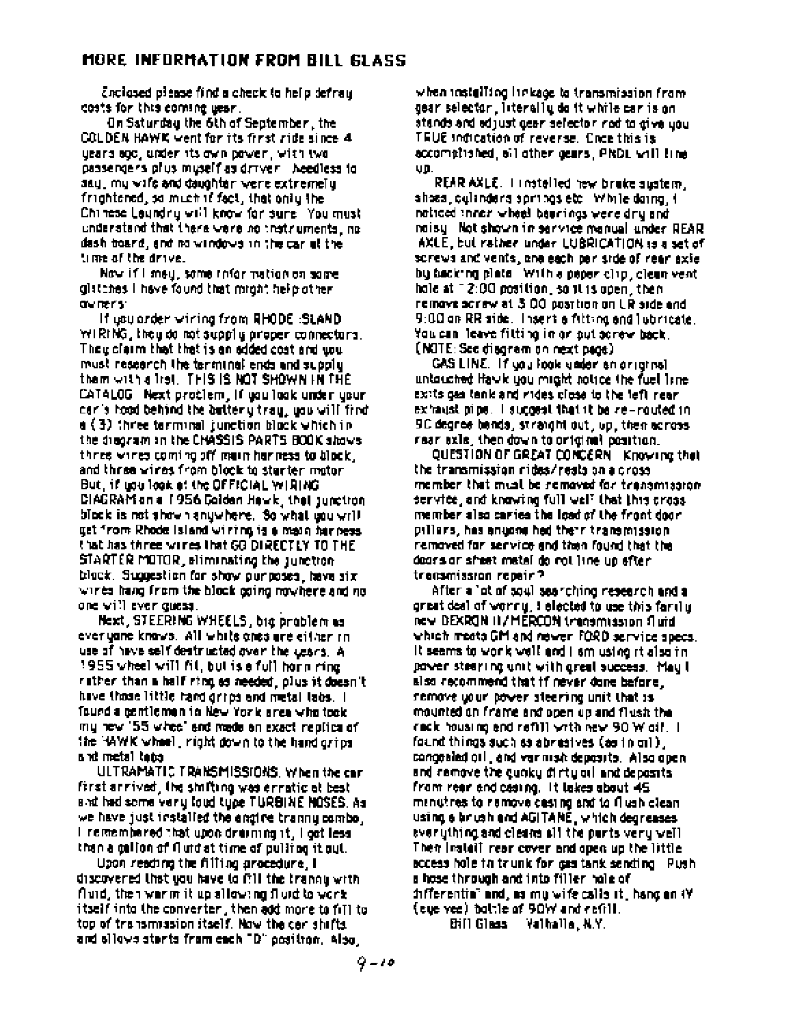änglased please find a check to help defray. costs for this coming uear.

On Saturday the 6th of September , the COLDEN HAWK went for its first ride since 4 years ago, uizier its own power, with two passengers plus muself as driver. Needless to asy, my wife and daughter were extremely. frightened, so much if fact, that only the Chinese Leundry will know for sure. You must understand that there were no that ruments, no dash board, and no windows in the car at the time of the drive.

Now if I mey, some rater nation on some glattines I have found that might help other dividents:

If you arder wiring from RHODE :SLAND WIRING, they do not supply proper connectors. They claim that that is an added cost and you. must research the terminal ends and supply. them with a list. THIS IS NOT SHOWN IN THE CATALOG Next problem, if you look under your car's tood behind the battery tray, you will find  $\mathfrak{a}\left(\mathfrak{Z}\right)$  three terminal junction block which in the disgram in the CHASSIS PARTS BOOK shows. three wines coming off moin har ness to block, and three wines from block to starter motor. But, if you look at the OFFICIAL WIRING CIAGRAM an a 1956 Colden Hewk, that supplice block is not shown anywhere. So what you wrill get from Rhode Island wiring is a main har ness that has three wines that GO DIRECTLY TO THE STARTER MOTOR, eliminating the junction block. Suggestion for show purposes, have six wines hang from the block going nowhere and no one will ever quess.

Next, STEERING WHEELS, big problem as ever yane knows. All while ones are either in use of have self-destructed over the users. A 1955 wheel will fit, but is a full horn mine. rather than a half ring as needed, plus it doesn't have those little hand grips and metal labs. I found a gentlemen in New York area who took. mulhew 155 wheel and made an exact replica of the "WWK wheel, right down to the hand grips" and metal taba

ULTRAMATIC TRANSMISSIONS, When the car first arrived, the shifting was erratic at best and had some very loud type TURSINE NOSES, As we have just installed the angive tranny combo. I remembered that upon draining it, I got less than a collon of flutd at time of pulling it gyt.

Upon reading the filling gracedure, I discovered that you have to fill the tranquiwith fluid, then warm it up allowing fluid to work. itself into the converter , then add more to fill to top of transmission itself. Now the cer shifts and silows starts from each "D" positron, Also,

when installing linkage to transmission from gear selector. Interally do it while car is on stands and edjust gear selector ned to give you TRUE indication of reverse. Chos this is accomplished, all other gears, PRDL will line. ųþ.

REAR AXLE. I installed hew brake system, shoes, culanders springs etc. While doing, it natioed inner wheel bearings were dry and noisu Not shown in service manual under REAR AXLE, but rather under LUBRICATION is a set of screws and vents, and each pariside of rear axie. bu backing plate. With a paper clip, clean vent hale at 12:00 position, so it is open, then remove acrew at 3,00 position on UR side and 9:00 on RR side. Thsert a filting and lubricate. You can leave fitting in or put screw back. (NOTE: See diagram on next page)

GAS LINE. If you look under en original untouched Hawk you might notice the fuel line. exits gas tank and rides close to the left near. exhaust nine. I succeed that it be re-routed in 9C degree bands, straight out, up, then across rear exis, then down to original position.

OUESTION OF GREAT CONCERN Knowing that the transmission rides/rests on a cross member that must be removed for transmission. service, and knowing full well that this cross. member also caries the load of the front door. pillers, has anyone hed their transmission. removed for service and then found that the doors or sheet metal do rot line up efter. trensmission repair?

After a "ot of soul ses rohing research and a great deal of worny, i elected to use this farily. REY DEXRON II / MÉRCON transmission fluid which meets GM and newer. FORD service specs, It seems to work well and I am using it also in power stearing unit with great success. May t also recommend that if never done before. remove your power steering unit that is mounted on frame and open up and flush the rack housing end refill with new 90 W gil. I found things such as abreatves (as in oil), congealed oil, and varinish deposits. Also openand comove the quoky dirty oil and deposits. from rear and casing. It lakes about 45 menutres to remove casing and to flush clean. using a brush and AGITANE, which degreases ever ything and cleans all the parts very well. Their Instalt, rear cover and open up the little. access hole to trunk for gas tank sending Push. a hose through and into filler hole of differentia" and, as my wife calls it, hang on 4Y. (eye yee) bottle of 90W and refill.

Etill Glass - Valhalla, N.Y.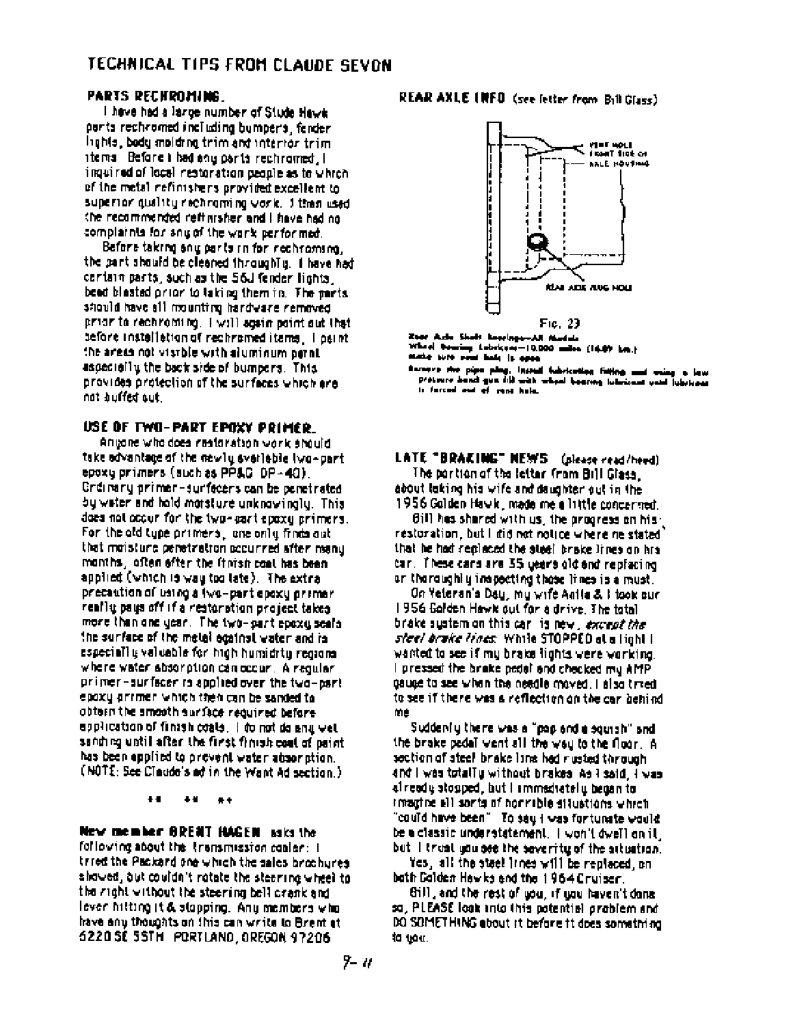# TECHNICAL TIPS FROM CLAUDE SEVON

### PARTS RECHROMING

I have had a large number of Stude Hawk parts rechromed including bumpers, fender lights, body molding trim and interior trim items Before i bad any parts rechromed, i inquired of local restoration people as to which of the metal nefinishers provided excellent to superior quality rechroming vork. I then used the recommended refinisher and I have had no complaints for any of the work performed.

Before taking any parts in for rechroming. the part should be cleaned throughly. I have had cartain parts, such as the 56J fender lights. been blasted prior to laking them in. The parts should have all mounting hardware removed prior to rechroming. I will again point out that before installation of rechramed items. I gaint the areas not visible with aluminum paint. aspecially the back side of bumpers. This provides protection of the surfaces which are not buffed out

### USE OF TWO-PART EPOXY PRIMER.

Anyone who does nestanation work should take advantage of the newly svariable two-part epoxy primers (such as PP&G-DP-40). Grdinary primer-surfacers can be penetrated bu weter and hold marsture unknowingly. This does not occur for the two-part epoxy primers. For the old type primers, one only finds out that moisture penetration accurred after many months, often efter the finish coat has been applied (which is way too late). The extraprecention of using a (wo-part epoxy primerreally pays off if a restoration project takes more than one year. The two-part epoxy seals the surface of the metal equinst water and in especially valuable for migh humidity regions. where water absorption can occur. A regular primer-surfacer is applied over the two-part epoxy arriner which then can be sanded to obtern the smooth surface required before epplication of finish coats. I do not do and wet sanding until after the first finish coat of paint. has been applied to prevent water absoration. (NOTE: See Claude's ad in the Want Ad section.)

> $\bullet$  $+$  $\bullet$

### New member BRENT HAGEN asks the

following about the irrensmission conter: I tried the Packard one which the sales brochures shaved, but couldn't ratate the steering wheel to the right without the steering bell crank and lever hitting it & stapping. Any members who have any thoughts on this can write to Brent at 6220 SE 55TH PORTLAND, OREGON 97206

# REAR AXLE INFO (see letter from Bill Glass)



Zeer Azie Sheit beschips-All Navisie Which Dening Labrices-10,000 miles (14.07 km.) state sure som hade is open

Sarages the pipe play. Instead fubrication fieling and using a low presence bench gun (ii) with wheat because interior wind your interior.

### LATE "BRAKING" NEWS (please read/heed) The partion of the letter from Bill Glass. about laking his wife and daughter out in the 1956 Galden Hawk, made me a little concerned.

Bill has shared with us, the progress on hisrestoration, but I did not notice where ne stated that he had replaced the stael brake lines on hrs. car. These cars are 35 years old and replacing. or thoroughly inapacting those lines is a must.

On Veterania Dau, mu wife Antia & I took our 1956 Golden Hawk out for a drive. The total brake sustain on this car, is new, except the *steel brake lines*, while STOPPED at a light t wanted to see if my brake lights were working. I pressed the brake pedal and checked my AMP. gauge to see when the needle mayed. I also tried to see if there was a reflection on the car behind. 前直

Suddenful there was a "pop and a squish" and the brake pedal went all the way to the floor. A section of steel brake line had rusted through and I was totally without brakes. As I said, I was al ready stopped, but I immediately began to imactive all sonts of honrible situations which "could have been". To sey I was fortunate would: be a classic understatement. I won't dwell on it. but I truat you see the severity of the attuation.

Yes, all the stael irnes will be replaced, on bath Galden Hewks and the 1964 Cruiser.

Sill, and the rest of you, if you haven't done. sa, PLEASE look into this potential problem and DO SOMETHING about it before it does something to you.